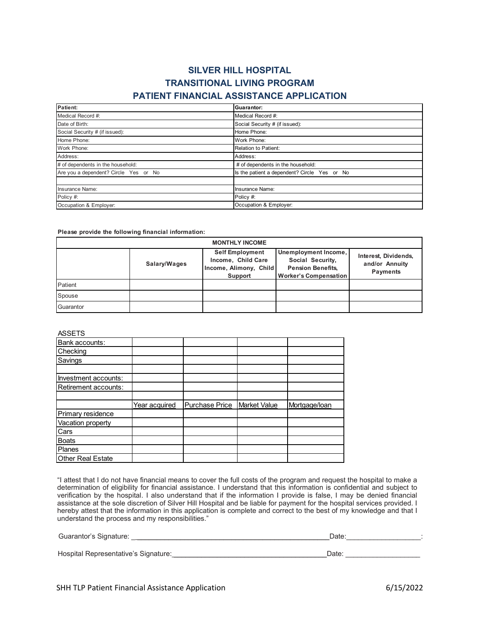## **SILVER HILL HOSPITAL TRANSITIONAL LIVING PROGRAM**

## **PATIENT FINANCIAL ASSISTANCE APPLICATION**

| Patient:                              | Guarantor:                                   |  |  |  |  |
|---------------------------------------|----------------------------------------------|--|--|--|--|
| Medical Record #:                     | Medical Record #:                            |  |  |  |  |
| Date of Birth:                        | Social Security # (if issued):               |  |  |  |  |
| Social Security # (if issued):        | Home Phone:                                  |  |  |  |  |
| Home Phone:                           | Work Phone:                                  |  |  |  |  |
| Work Phone:                           | Relation to Patient:                         |  |  |  |  |
| Address:                              | Address:                                     |  |  |  |  |
| # of dependents in the household:     | # of dependents in the household:            |  |  |  |  |
| Are you a dependent? Circle Yes or No | Is the patient a dependent? Circle Yes or No |  |  |  |  |
|                                       |                                              |  |  |  |  |
| <b>Insurance Name:</b>                | Insurance Name:                              |  |  |  |  |
| Policy #:                             | Policy #:                                    |  |  |  |  |
| Occupation & Employer:                | Occupation & Employer:                       |  |  |  |  |

## **Please provide the following financial information:**

| <b>MONTHLY INCOME</b> |              |                                                                                   |                                                                                                      |                                                    |  |  |  |
|-----------------------|--------------|-----------------------------------------------------------------------------------|------------------------------------------------------------------------------------------------------|----------------------------------------------------|--|--|--|
|                       | Salary/Wages | <b>Self Employment</b><br>Income, Child Care<br>Income, Alimony, Child<br>Support | Unemployment Income,<br>Social Security,<br><b>Pension Benefits,</b><br><b>Worker's Compensation</b> | Interest, Dividends,<br>and/or Annuity<br>Payments |  |  |  |
| Patient               |              |                                                                                   |                                                                                                      |                                                    |  |  |  |
| Spouse                |              |                                                                                   |                                                                                                      |                                                    |  |  |  |
| Guarantor             |              |                                                                                   |                                                                                                      |                                                    |  |  |  |

## ASSETS

|  | Market Value                    | Mortgage/loan |
|--|---------------------------------|---------------|
|  |                                 |               |
|  |                                 |               |
|  |                                 |               |
|  |                                 |               |
|  |                                 |               |
|  |                                 |               |
|  | Purchase Price<br>Year acquired |               |

"I attest that I do not have financial means to cover the full costs of the program and request the hospital to make a determination of eligibility for financial assistance. I understand that this information is confidential and subject to verification by the hospital. I also understand that if the information I provide is false, I may be denied financial assistance at the sole discretion of Silver Hill Hospital and be liable for payment for the hospital services provided. I hereby attest that the information in this application is complete and correct to the best of my knowledge and that I understand the process and my responsibilities."

| Guarantor's Signature:               | Date: |  |  |  |  |
|--------------------------------------|-------|--|--|--|--|
| Hospital Representative's Signature: | Date: |  |  |  |  |